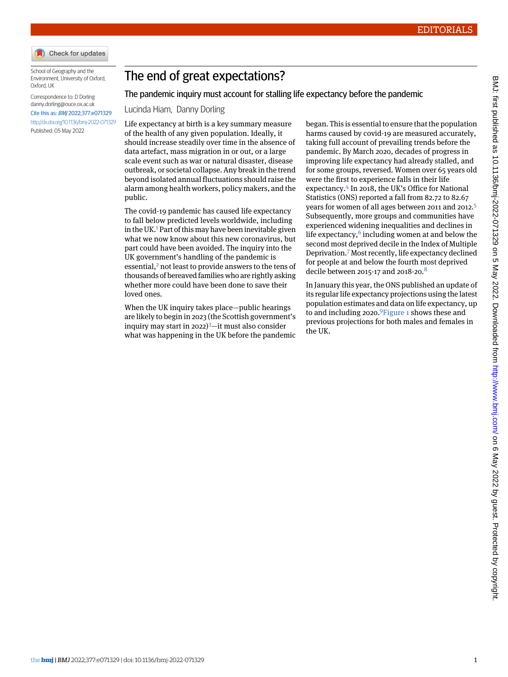

School of Geography and the Environment, University of Oxford, Oxford, UK

Correspondence to: D Dorling [danny.dorling@ouce.ox.ac.uk](mailto:danny.dorling@ouce.ox.ac.uk) Cite this as: BMJ 2022;377:e071329 <http://dx.doi.org/10.1136/bmj-2022-071329> Published: 05 May 2022

## The end of great expectations?

## The pandemic inquiry must account for stalling life expectancy before the pandemic

## Lucinda Hiam, Danny Dorling

Life expectancy at birth is a key summary measure of the health of any given population. Ideally, it should increase steadily over time in the absence of data artefact, mass migration in or out, or a large scale event such as war or natural disaster, disease outbreak, or societal collapse. Any break in the trend beyond isolated annual fluctuations should raise the alarm among health workers, policy makers, and the public.

The covid-19 pandemic has caused life expectancy to fall below predicted levels worldwide, including in the UK.<sup>[1](#page-2-0)</sup> Part of this may have been inevitable given what we now know about this new coronavirus, but part could have been avoided. The inquiry into the UK government's handling of the pandemic is essential,<sup>[2](#page-2-1)</sup> not least to provide answers to the tens of thousands of bereaved families who are rightly asking whether more could have been done to save their loved ones.

When the UK inquiry takes place—public hearings are likely to begin in 2023 (the Scottish government's inquiry may start in 2022) $3$ —it must also consider what was happening in the UK before the pandemic

began. This is essential to ensure that the population harms caused by covid-19 are measured accurately, taking full account of prevailing trends before the pandemic. By March 2020, decades of progress in improving life expectancy had already stalled, and for some groups, reversed. Women over 65 years old were the first to experience falls in their life expectancy.[4](#page-2-3) In 2018, the UK's Office for National Statistics (ONS) reported a fall from 82.72 to 82.67 years for women of all ages between 2011 and 2012.<sup>[5](#page-2-4)</sup> Subsequently, more groups and communities have experienced widening inequalities and declines in life expectancy, $^6$  $^6$  including women at and below the second most deprived decile in the Index of Multiple Deprivation.[7](#page-2-6) Most recently, life expectancy declined for people at and below the fourth most deprived decile between 2015-17 and 201[8](#page-2-7)-20. $8$ 

In January this year, the ONS published an update of its regular life expectancy projections using the latest population estimates and data on life expectancy, up to and including 2020.[9](#page-2-8)[Figure 1](#page-1-0) shows these and previous projections for both males and females in the UK.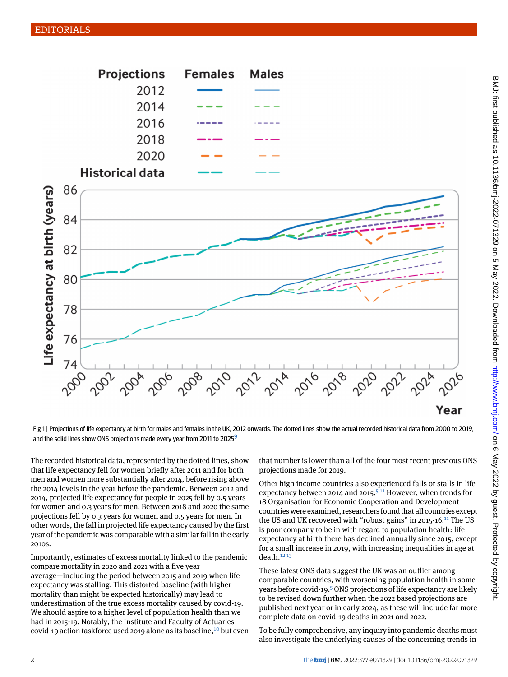<span id="page-1-0"></span>

Fig 1 | Projections of life expectancy at birth for males and females in the UK, 2012 onwards. The dotted lines show the actual recorded historical data from 2000 to 2019, and the solid lines show ONS projections made every year from 2011 to 2025<sup>[9](#page-2-8)</sup>

The recorded historical data, represented by the dotted lines, show that life expectancy fell for women briefly after 2011 and for both men and women more substantially after 2014, before rising above the 2014 levels in the year before the pandemic. Between 2012 and 2014, projected life expectancy for people in 2025 fell by 0.5 years for women and 0.3 years for men. Between 2018 and 2020 the same projections fell by 0.3 years for women and 0.5 years for men. In other words, the fall in projected life expectancy caused by the first year of the pandemic was comparable with a similar fall in the early 2010s.

Importantly, estimates of excess mortality linked to the pandemic compare mortality in 2020 and 2021 with a five year average—including the period between 2015 and 2019 when life expectancy was stalling. This distorted baseline (with higher mortality than might be expected historically) may lead to underestimation of the true excess mortality caused by covid-19. We should aspire to a higher level of population health than we had in 2015-19. Notably, the Institute and Faculty of Actuaries covid-19 action taskforce used 2019 alone as its baseline,<sup>[10](#page-2-9)</sup> but even that number is lower than all of the four most recent previous ONS projections made for 2019.

Other high income countries also experienced falls or stalls in life expectancy between 2014 and 201[5](#page-2-4).<sup>511</sup> However, when trends for 18 Organisation for Economic Cooperation and Development countries were examined, researchers found that all countries except the US and UK recovered with "robust gains" in 2015-16.<sup>[11](#page-2-10)</sup> The US is poor company to be in with regard to population health: life expectancy at birth there has declined annually since 2015, except for a small increase in 2019, with increasing inequalities in age at death. $12 13$  $12 13$ 

These latest ONS data suggest the UK was an outlier among comparable countries, with worsening population health in some years before covid-19.<sup>[5](#page-2-4)</sup> ONS projections of life expectancy are likely to be revised down further when the 2022 based projections are published next year or in early 2024, as these will include far more complete data on covid-19 deaths in 2021 and 2022.

To be fully comprehensive, any inquiry into pandemic deaths must also investigate the underlying causes of the concerning trends in